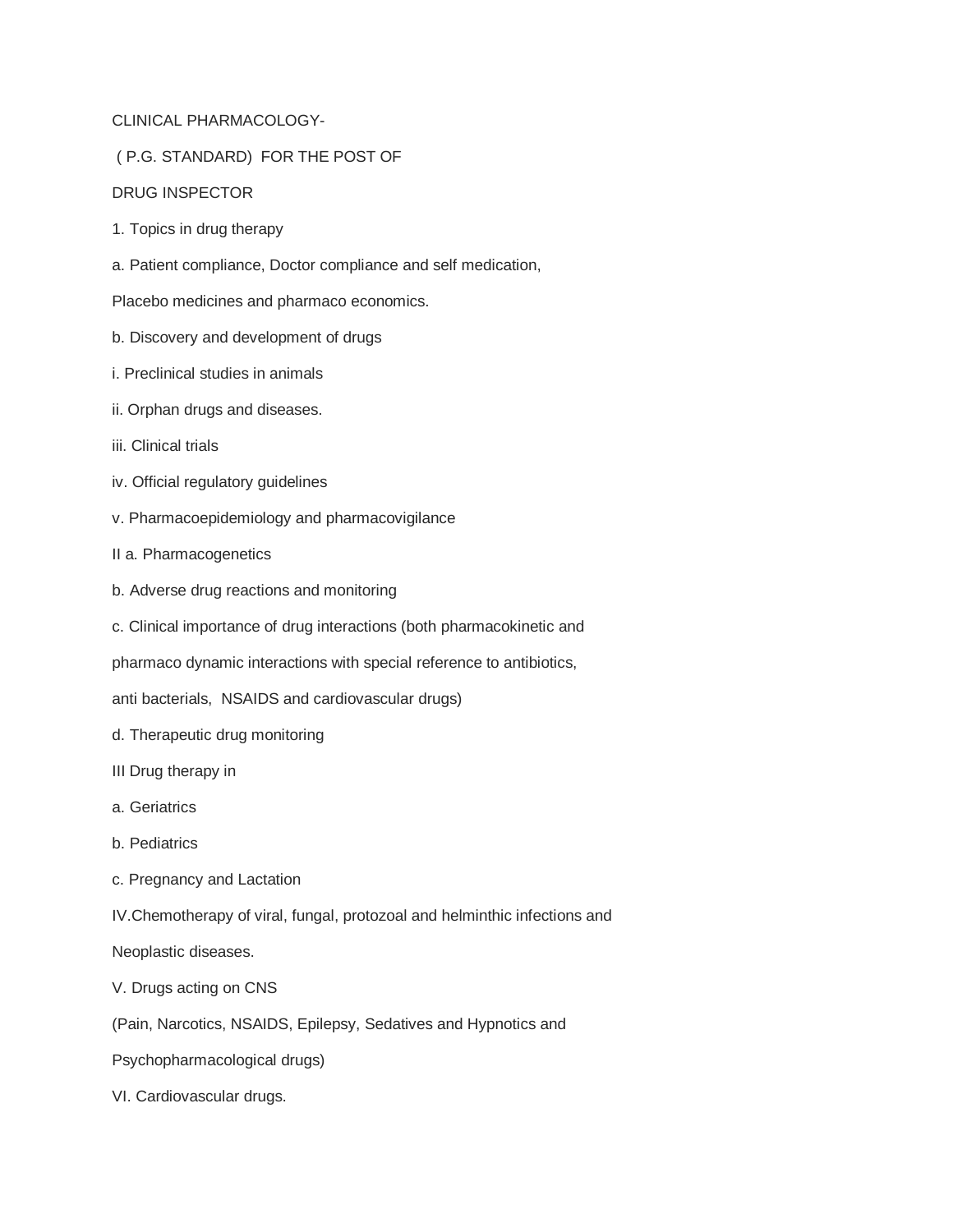## CLINICAL PHARMACOLOGY-

## ( P.G. STANDARD) FOR THE POST OF

## DRUG INSPECTOR

- 1. Topics in drug therapy
- a. Patient compliance, Doctor compliance and self medication,

Placebo medicines and pharmaco economics.

- b. Discovery and development of drugs
- i. Preclinical studies in animals
- ii. Orphan drugs and diseases.
- iii. Clinical trials
- iv. Official regulatory guidelines
- v. Pharmacoepidemiology and pharmacovigilance
- II a. Pharmacogenetics
- b. Adverse drug reactions and monitoring
- c. Clinical importance of drug interactions (both pharmacokinetic and

pharmaco dynamic interactions with special reference to antibiotics,

anti bacterials, NSAIDS and cardiovascular drugs)

- d. Therapeutic drug monitoring
- III Drug therapy in
- a. Geriatrics
- b. Pediatrics
- c. Pregnancy and Lactation
- IV.Chemotherapy of viral, fungal, protozoal and helminthic infections and

Neoplastic diseases.

- V. Drugs acting on CNS
- (Pain, Narcotics, NSAIDS, Epilepsy, Sedatives and Hypnotics and
- Psychopharmacological drugs)
- VI. Cardiovascular drugs.